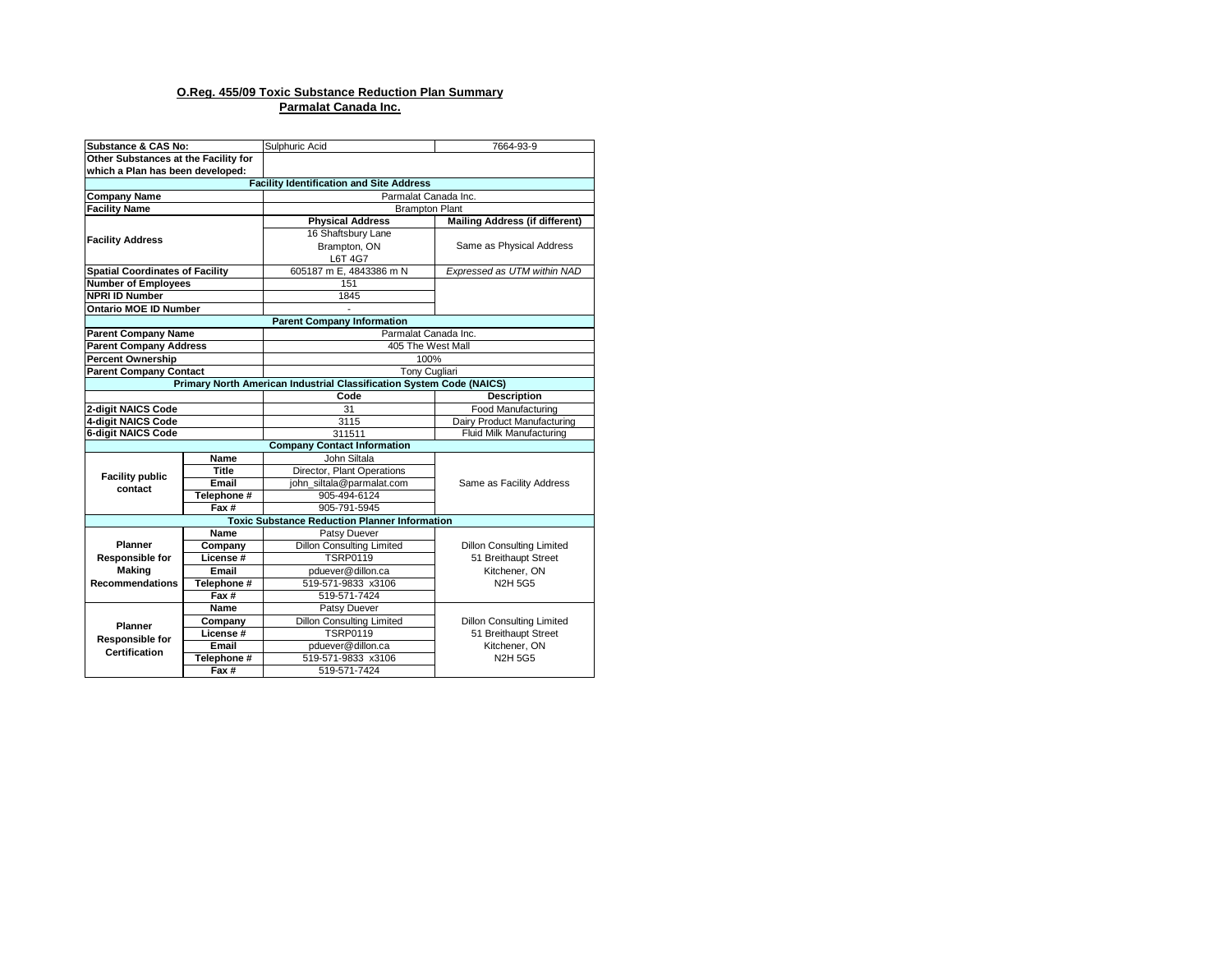## **O.Reg. 455/09 Toxic Substance Reduction Plan Summary**

**Parmalat Canada Inc.**

| Substance & CAS No:                                                  |              | Sulphuric Acid                                       | 7664-93-9                             |  |  |  |  |  |
|----------------------------------------------------------------------|--------------|------------------------------------------------------|---------------------------------------|--|--|--|--|--|
| Other Substances at the Facility for                                 |              |                                                      |                                       |  |  |  |  |  |
| which a Plan has been developed:                                     |              |                                                      |                                       |  |  |  |  |  |
|                                                                      |              | <b>Facility Identification and Site Address</b>      |                                       |  |  |  |  |  |
| <b>Company Name</b><br>Parmalat Canada Inc.                          |              |                                                      |                                       |  |  |  |  |  |
| <b>Facility Name</b>                                                 |              | <b>Brampton Plant</b>                                |                                       |  |  |  |  |  |
|                                                                      |              | <b>Physical Address</b>                              | <b>Mailing Address (if different)</b> |  |  |  |  |  |
| <b>Facility Address</b>                                              |              | 16 Shaftsbury Lane                                   |                                       |  |  |  |  |  |
|                                                                      |              | Brampton, ON                                         | Same as Physical Address              |  |  |  |  |  |
|                                                                      |              | L6T 4G7                                              |                                       |  |  |  |  |  |
| <b>Spatial Coordinates of Facility</b>                               |              | 605187 m E. 4843386 m N                              | Expressed as UTM within NAD           |  |  |  |  |  |
| <b>Number of Employees</b>                                           |              | 151                                                  |                                       |  |  |  |  |  |
| <b>NPRI ID Number</b>                                                |              | 1845                                                 |                                       |  |  |  |  |  |
| Ontario MOE ID Number                                                |              |                                                      |                                       |  |  |  |  |  |
|                                                                      |              | <b>Parent Company Information</b>                    |                                       |  |  |  |  |  |
| <b>Parent Company Name</b>                                           |              | Parmalat Canada Inc.                                 |                                       |  |  |  |  |  |
| <b>Parent Company Address</b>                                        |              | 405 The West Mall                                    |                                       |  |  |  |  |  |
| <b>Percent Ownership</b>                                             |              | 100%                                                 |                                       |  |  |  |  |  |
| <b>Tony Cugliari</b><br><b>Parent Company Contact</b>                |              |                                                      |                                       |  |  |  |  |  |
| Primary North American Industrial Classification System Code (NAICS) |              |                                                      |                                       |  |  |  |  |  |
| <b>Description</b><br>Code                                           |              |                                                      |                                       |  |  |  |  |  |
| 2-digit NAICS Code                                                   |              | 31                                                   | Food Manufacturing                    |  |  |  |  |  |
| 4-digit NAICS Code                                                   |              | 3115                                                 | Dairy Product Manufacturing           |  |  |  |  |  |
| <b>6-digit NAICS Code</b>                                            |              | 311511                                               | <b>Fluid Milk Manufacturing</b>       |  |  |  |  |  |
|                                                                      |              | <b>Company Contact Information</b>                   |                                       |  |  |  |  |  |
|                                                                      | Name         | John Siltala                                         |                                       |  |  |  |  |  |
| <b>Facility public</b>                                               | <b>Title</b> | Director, Plant Operations                           |                                       |  |  |  |  |  |
| contact                                                              | Email        | john_siltala@parmalat.com                            | Same as Facility Address              |  |  |  |  |  |
|                                                                      | Telephone #  | 905-494-6124                                         |                                       |  |  |  |  |  |
|                                                                      | Fax #        | 905-791-5945                                         |                                       |  |  |  |  |  |
|                                                                      |              | <b>Toxic Substance Reduction Planner Information</b> |                                       |  |  |  |  |  |
|                                                                      | Name         | Patsy Duever                                         |                                       |  |  |  |  |  |
| <b>Planner</b>                                                       | Company      | <b>Dillon Consulting Limited</b>                     | <b>Dillon Consulting Limited</b>      |  |  |  |  |  |
| <b>Responsible for</b>                                               | License #    | <b>TSRP0119</b>                                      | 51 Breithaupt Street                  |  |  |  |  |  |
| <b>Making</b><br>Email                                               |              | pduever@dillon.ca                                    | Kitchener, ON                         |  |  |  |  |  |
| <b>Recommendations</b>                                               | Telephone #  | 519-571-9833 x3106                                   | <b>N2H 5G5</b>                        |  |  |  |  |  |
|                                                                      | Fax #        | 519-571-7424                                         |                                       |  |  |  |  |  |
|                                                                      | Name         | Patsy Duever                                         | <b>Dillon Consulting Limited</b>      |  |  |  |  |  |
| <b>Planner</b>                                                       | Company      | <b>Dillon Consulting Limited</b>                     |                                       |  |  |  |  |  |
| Responsible for                                                      | License#     | <b>TSRP0119</b>                                      | 51 Breithaupt Street                  |  |  |  |  |  |
| Certification                                                        | Email        | pduever@dillon.ca                                    | Kitchener, ON                         |  |  |  |  |  |
|                                                                      | Telephone #  | 519-571-9833 x3106                                   | <b>N2H 5G5</b>                        |  |  |  |  |  |
|                                                                      | Fax#         | 519-571-7424                                         |                                       |  |  |  |  |  |